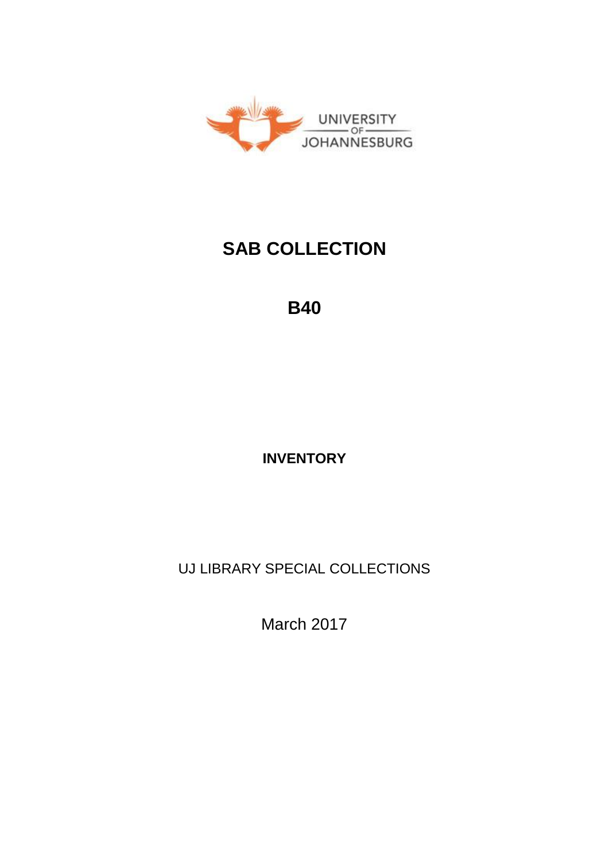

# **SAB COLLECTION**

**B40**

**INVENTORY**

UJ LIBRARY SPECIAL COLLECTIONS

March 2017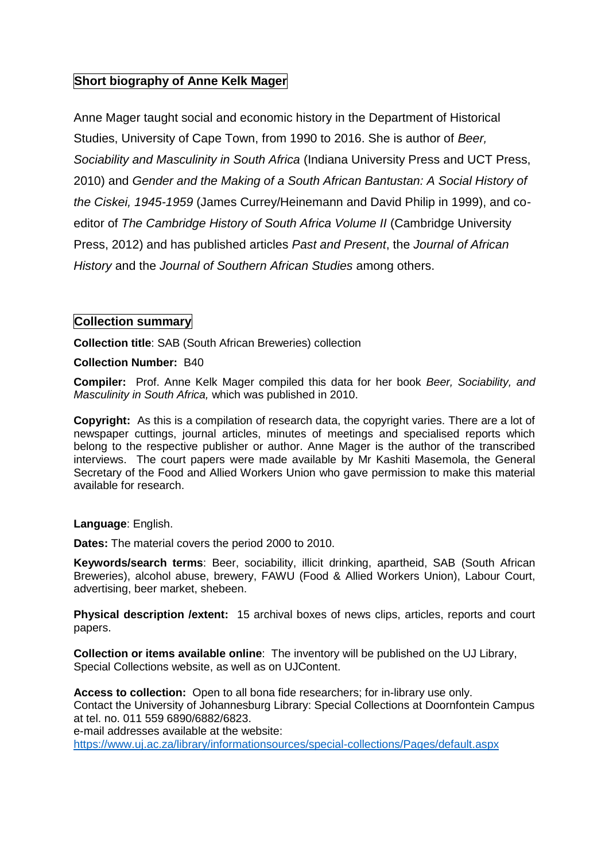## **Short biography of Anne Kelk Mager**

Anne Mager taught social and economic history in the Department of Historical Studies, University of Cape Town, from 1990 to 2016. She is author of *Beer, Sociability and Masculinity in South Africa* (Indiana University Press and UCT Press, 2010) and *Gender and the Making of a South African Bantustan: A Social History of the Ciskei, 1945-1959* (James Currey/Heinemann and David Philip in 1999), and coeditor of *The Cambridge History of South Africa Volume II* (Cambridge University Press, 2012) and has published articles *Past and Present*, the *Journal of African History* and the *Journal of Southern African Studies* among others.

## **Collection summary**

**Collection title**: SAB (South African Breweries) collection

#### **Collection Number:** B40

**Compiler:** Prof. Anne Kelk Mager compiled this data for her book *Beer, Sociability, and Masculinity in South Africa,* which was published in 2010.

**Copyright:** As this is a compilation of research data, the copyright varies. There are a lot of newspaper cuttings, journal articles, minutes of meetings and specialised reports which belong to the respective publisher or author. Anne Mager is the author of the transcribed interviews. The court papers were made available by Mr Kashiti Masemola, the General Secretary of the Food and Allied Workers Union who gave permission to make this material available for research.

#### **Language**: English.

**Dates:** The material covers the period 2000 to 2010.

**Keywords/search terms**: Beer, sociability, illicit drinking, apartheid, SAB (South African Breweries), alcohol abuse, brewery, FAWU (Food & Allied Workers Union), Labour Court, advertising, beer market, shebeen.

**Physical description /extent:** 15 archival boxes of news clips, articles, reports and court papers.

**Collection or items available online**: The inventory will be published on the UJ Library, Special Collections website, as well as on UJContent.

**Access to collection:** Open to all bona fide researchers; for in-library use only. Contact the University of Johannesburg Library: Special Collections at Doornfontein Campus at tel. no. 011 559 6890/6882/6823.

e-mail addresses available at the website:

<https://www.uj.ac.za/library/informationsources/special-collections/Pages/default.aspx>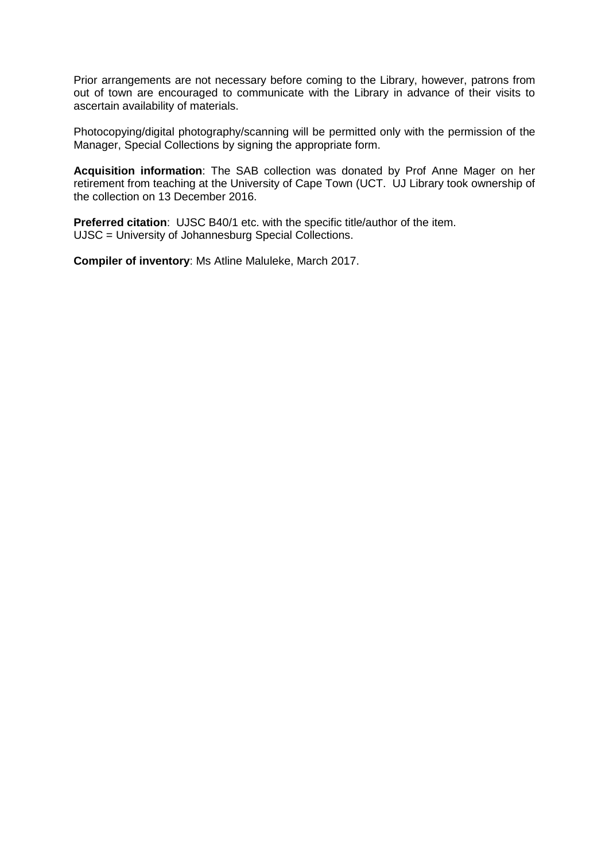Prior arrangements are not necessary before coming to the Library, however, patrons from out of town are encouraged to communicate with the Library in advance of their visits to ascertain availability of materials.

Photocopying/digital photography/scanning will be permitted only with the permission of the Manager, Special Collections by signing the appropriate form.

**Acquisition information**: The SAB collection was donated by Prof Anne Mager on her retirement from teaching at the University of Cape Town (UCT. UJ Library took ownership of the collection on 13 December 2016.

**Preferred citation**: UJSC B40/1 etc. with the specific title/author of the item. UJSC = University of Johannesburg Special Collections.

**Compiler of inventory**: Ms Atline Maluleke, March 2017.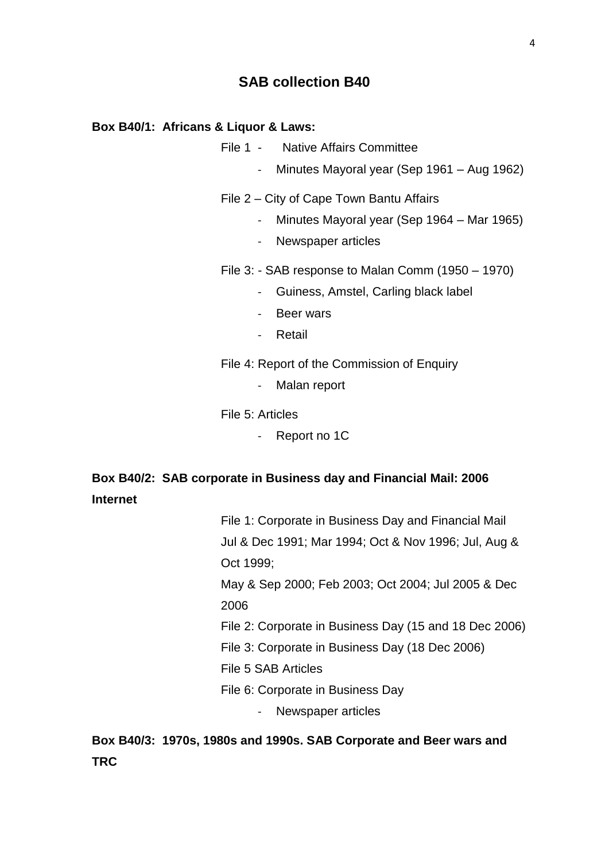## **SAB collection B40**

#### **Box B40/1: Africans & Liquor & Laws:**

- File 1 Native Affairs Committee
	- Minutes Mayoral year (Sep 1961 Aug 1962)
- File 2 City of Cape Town Bantu Affairs
	- Minutes Mayoral year (Sep 1964 Mar 1965)
	- Newspaper articles
- File 3: SAB response to Malan Comm (1950 1970)
	- Guiness, Amstel, Carling black label
	- Beer wars
	- Retail
- File 4: Report of the Commission of Enquiry
	- Malan report

#### File 5: Articles

- Report no 1C

# **Box B40/2: SAB corporate in Business day and Financial Mail: 2006 Internet**

File 1: Corporate in Business Day and Financial Mail Jul & Dec 1991; Mar 1994; Oct & Nov 1996; Jul, Aug & Oct 1999; May & Sep 2000; Feb 2003; Oct 2004; Jul 2005 & Dec 2006 File 2: Corporate in Business Day (15 and 18 Dec 2006) File 3: Corporate in Business Day (18 Dec 2006) File 5 SAB Articles File 6: Corporate in Business Day

- Newspaper articles

**Box B40/3: 1970s, 1980s and 1990s. SAB Corporate and Beer wars and TRC**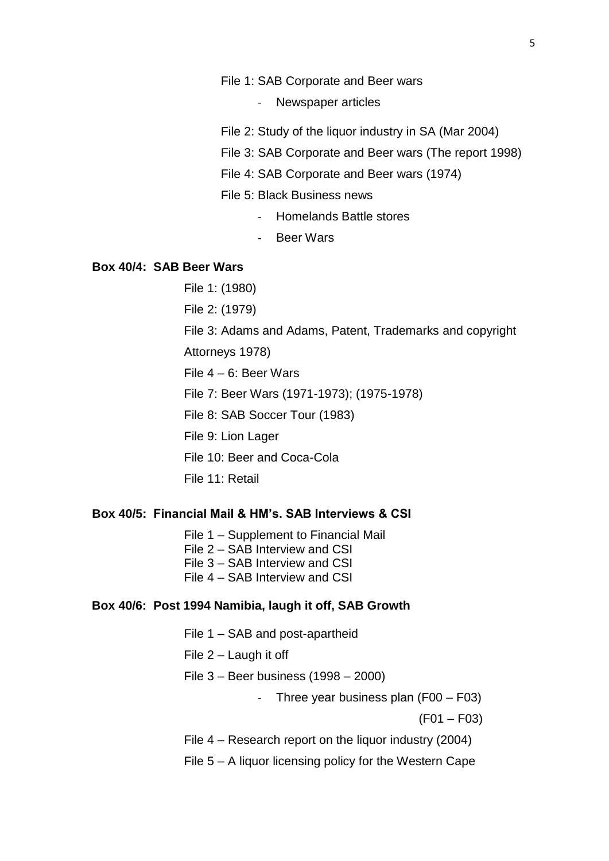#### File 1: SAB Corporate and Beer wars

- Newspaper articles
- File 2: Study of the liquor industry in SA (Mar 2004)
- File 3: SAB Corporate and Beer wars (The report 1998)
- File 4: SAB Corporate and Beer wars (1974)
- File 5: Black Business news
	- Homelands Battle stores
	- Beer Wars

#### **Box 40/4: SAB Beer Wars**

File 1: (1980)

File 2: (1979)

File 3: Adams and Adams, Patent, Trademarks and copyright

Attorneys 1978)

File 4 – 6: Beer Wars

File 7: Beer Wars (1971-1973); (1975-1978)

File 8: SAB Soccer Tour (1983)

File 9: Lion Lager

File 10: Beer and Coca-Cola

File 11: Retail

## **Box 40/5: Financial Mail & HM's. SAB Interviews & CSI**

File 1 – Supplement to Financial Mail File 2 – SAB Interview and CSI File 3 – SAB Interview and CSI

File 4 – SAB Interview and CSI

#### **Box 40/6: Post 1994 Namibia, laugh it off, SAB Growth**

- File 1 SAB and post-apartheid
- File 2 Laugh it off
- File 3 Beer business (1998 2000)
	- Three year business plan (F00 F03)

(F01 – F03)

- File 4 Research report on the liquor industry (2004)
- File 5 A liquor licensing policy for the Western Cape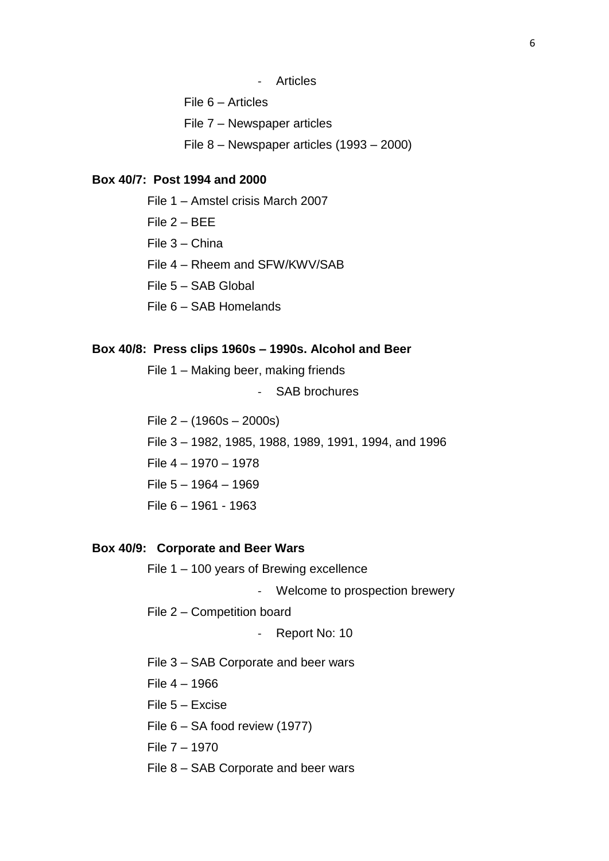- **Articles**
- File 6 Articles
- File 7 Newspaper articles
- File 8 Newspaper articles (1993 2000)

#### **Box 40/7: Post 1994 and 2000**

- File 1 Amstel crisis March 2007
- File 2 BEE
- File 3 China
- File 4 Rheem and SFW/KWV/SAB
- File 5 SAB Global
- File 6 SAB Homelands

#### **Box 40/8: Press clips 1960s – 1990s. Alcohol and Beer**

File 1 – Making beer, making friends

- SAB brochures

File 2 – (1960s – 2000s) File 3 – 1982, 1985, 1988, 1989, 1991, 1994, and 1996 File 4 – 1970 – 1978 File 5 – 1964 – 1969 File 6 – 1961 - 1963

### **Box 40/9: Corporate and Beer Wars**

File 1 – 100 years of Brewing excellence

- Welcome to prospection brewery

File 2 – Competition board

- Report No: 10

File 3 – SAB Corporate and beer wars

File 4 – 1966

- File 5 Excise
- File 6 SA food review (1977)
- File 7 1970
- File 8 SAB Corporate and beer wars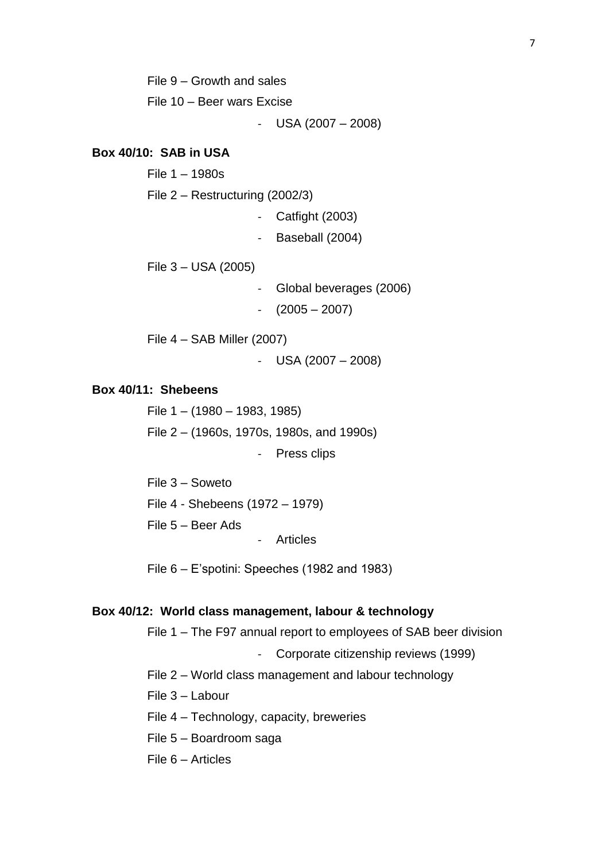File 9 – Growth and sales

File 10 – Beer wars Excise

 $-$  USA (2007 – 2008)

#### **Box 40/10: SAB in USA**

File 1 – 1980s

File 2 – Restructuring (2002/3)

- Catfight (2003)

Baseball (2004)

File 3 – USA (2005)

- Global beverages (2006)

- (2005 – 2007)

File 4 – SAB Miller (2007)

- USA (2007 – 2008)

## **Box 40/11: Shebeens**

File 1 – (1980 – 1983, 1985) File 2 – (1960s, 1970s, 1980s, and 1990s) - Press clips

File 3 – Soweto File 4 - Shebeens (1972 – 1979) File 5 – Beer Ads - Articles

File 6 – E'spotini: Speeches (1982 and 1983)

#### **Box 40/12: World class management, labour & technology**

File 1 – The F97 annual report to employees of SAB beer division

Corporate citizenship reviews (1999)

File 2 – World class management and labour technology

File 3 – Labour

- File 4 Technology, capacity, breweries
- File 5 Boardroom saga
- File 6 Articles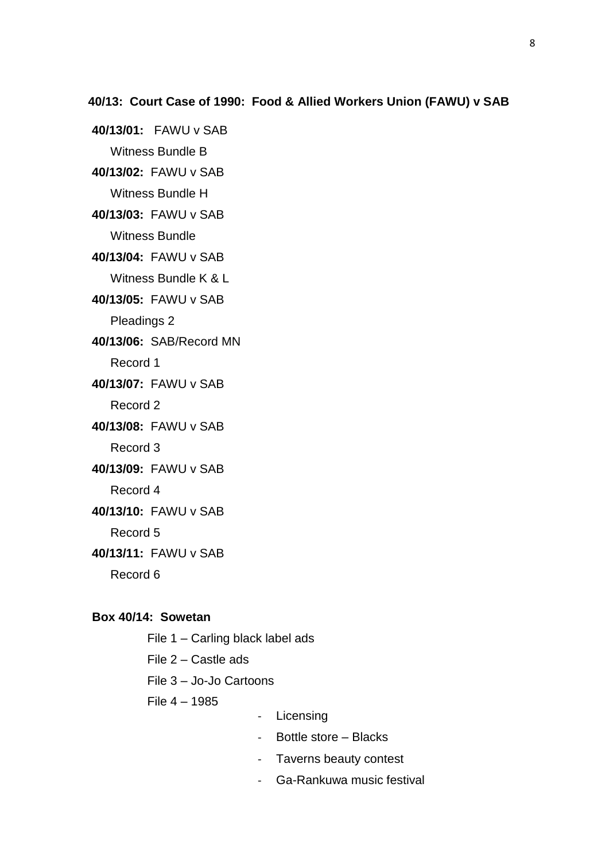**40/13/01:** FAWU v SAB Witness Bundle B

**40/13/02:** FAWU v SAB

Witness Bundle H

**40/13/03:** FAWU v SAB Witness Bundle

**40/13/04:** FAWU v SAB

Witness Bundle K & L

**40/13/05:** FAWU v SAB

Pleadings 2

**40/13/06:** SAB/Record MN

Record 1

**40/13/07:** FAWU v SAB

Record 2

**40/13/08:** FAWU v SAB

Record 3

**40/13/09:** FAWU v SAB

Record 4

**40/13/10:** FAWU v SAB

Record 5

**40/13/11:** FAWU v SAB

Record 6

#### **Box 40/14: Sowetan**

File 1 – Carling black label ads

File 2 – Castle ads

File 3 – Jo-Jo Cartoons

File 4 – 1985

- Licensing
- Bottle store Blacks
- Taverns beauty contest
- Ga-Rankuwa music festival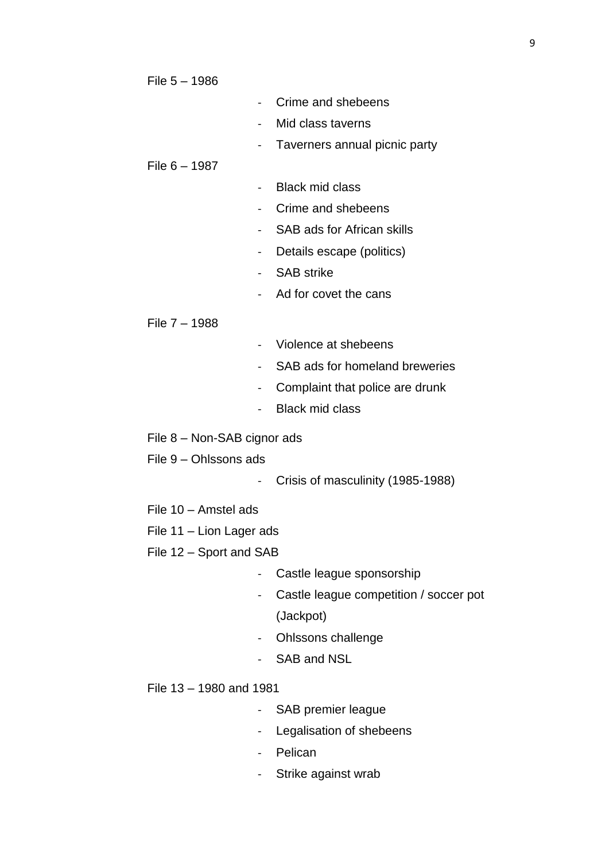File 5 – 1986

- Crime and shebeens
	- Mid class taverns
- Taverners annual picnic party

## File 6 – 1987

- Black mid class
- Crime and shebeens
- SAB ads for African skills
- Details escape (politics)
- SAB strike
- Ad for covet the cans

## File 7 – 1988

- Violence at shebeens
- SAB ads for homeland breweries
- Complaint that police are drunk
- Black mid class
- File 8 Non-SAB cignor ads
- File 9 Ohlssons ads
	- Crisis of masculinity (1985-1988)
- File 10 Amstel ads
- File 11 Lion Lager ads
- File 12 Sport and SAB
	- Castle league sponsorship
	- Castle league competition / soccer pot (Jackpot)
	- Ohlssons challenge
	- SAB and NSL
- File 13 1980 and 1981
	- SAB premier league
	- Legalisation of shebeens
	- Pelican
	- Strike against wrab